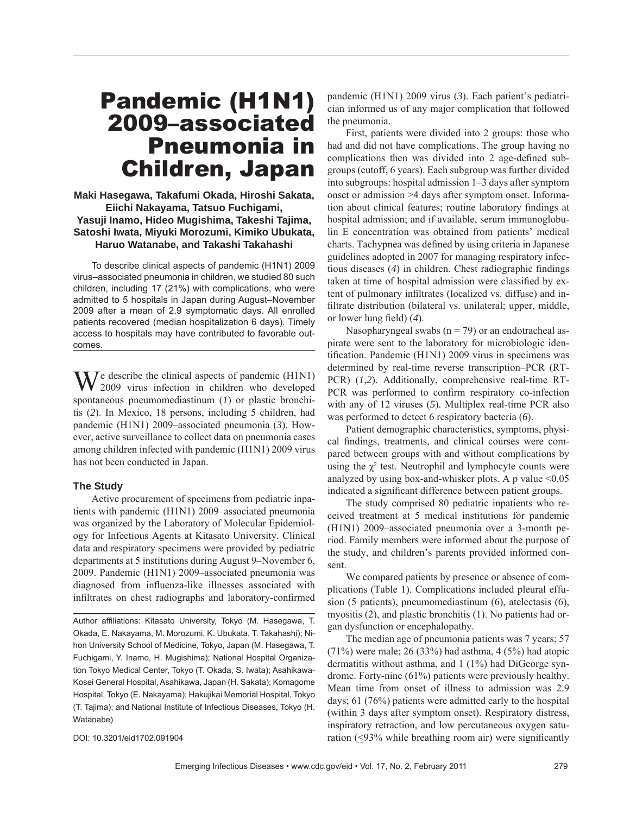# Pandemic (H1N1) 2009–associated Pneumonia in Children, Japan

### **Maki Hasegawa, Takafumi Okada, Hiroshi Sakata, Eiichi Nakayama, Tatsuo Fuchigami, Yasuji Inamo, Hideo Mugishima, Takeshi Tajima, Satoshi Iwata, Miyuki Morozumi, Kimiko Ubukata, Haruo Watanabe, and Takashi Takahashi**

To describe clinical aspects of pandemic (H1N1) 2009 virus–associated pneumonia in children, we studied 80 such children, including 17 (21%) with complications, who were admitted to 5 hospitals in Japan during August–November 2009 after a mean of 2.9 symptomatic days. All enrolled patients recovered (median hospitalization 6 days). Timely access to hospitals may have contributed to favorable outcomes.

 $\mathbf{W}$  describe the clinical aspects of pandemic (H1N1) 2009 virus infection in children who developed spontaneous pneumomediastinum (*1*) or plastic bronchitis (*2*). In Mexico, 18 persons, including 5 children, had pandemic (H1N1) 2009–associated pneumonia (*3*). However, active surveillance to collect data on pneumonia cases among children infected with pandemic (H1N1) 2009 virus has not been conducted in Japan.

## **The Study**

Active procurement of specimens from pediatric inpatients with pandemic (H1N1) 2009–associated pneumonia was organized by the Laboratory of Molecular Epidemiology for Infectious Agents at Kitasato University. Clinical data and respiratory specimens were provided by pediatric departments at 5 institutions during August 9–November 6, 2009. Pandemic (H1N1) 2009–associated pneumonia was diagnosed from influenza-like illnesses associated with infiltrates on chest radiographs and laboratory-confirmed

Author affiliations: Kitasato University, Tokyo (M. Hasegawa, T. Okada, E. Nakayama, M. Morozumi, K. Ubukata, T. Takahashi); Nihon University School of Medicine, Tokyo, Japan (M. Hasegawa, T. Fuchigami, Y. Inamo, H. Mugishima); National Hospital Organization Tokyo Medical Center, Tokyo (T. Okada, S. Iwata); Asahikawa-Kosei General Hospital, Asahikawa, Japan (H. Sakata); Komagome Hospital, Tokyo (E. Nakayama); Hakujikai Memorial Hospital, Tokyo (T. Tajima); and National Institute of Infectious Diseases, Tokyo (H. Watanabe)

DOI: 10.3201/eid1702.091904

pandemic (H1N1) 2009 virus (*3*). Each patient's pediatrician informed us of any major complication that followed the pneumonia.

First, patients were divided into 2 groups: those who had and did not have complications. The group having no complications then was divided into 2 age-defined subgroups (cutoff, 6 years). Each subgroup was further divided into subgroups: hospital admission 1–3 days after symptom onset or admission >4 days after symptom onset. Information about clinical features; routine laboratory findings at hospital admission; and if available, serum immunoglobulin E concentration was obtained from patients' medical charts. Tachypnea was defined by using criteria in Japanese guidelines adopted in 2007 for managing respiratory infectious diseases (4) in children. Chest radiographic findings taken at time of hospital admission were classified by extent of pulmonary infiltrates (localized vs. diffuse) and infiltrate distribution (bilateral vs. unilateral; upper, middle, or lower lung field)  $(4)$ .

Nasopharyngeal swabs  $(n = 79)$  or an endotracheal aspirate were sent to the laboratory for microbiologic identification. Pandemic (H1N1) 2009 virus in specimens was determined by real-time reverse transcription–PCR (RT-PCR) (*1*,*2*). Additionally, comprehensive real-time RT-PCR was performed to confirm respiratory co-infection with any of 12 viruses (*5*). Multiplex real-time PCR also was performed to detect 6 respiratory bacteria (*6*).

Patient demographic characteristics, symptoms, physical findings, treatments, and clinical courses were compared between groups with and without complications by using the  $\chi^2$  test. Neutrophil and lymphocyte counts were analyzed by using box-and-whisker plots. A p value  $\leq 0.05$ indicated a significant difference between patient groups.

The study comprised 80 pediatric inpatients who received treatment at 5 medical institutions for pandemic (H1N1) 2009–associated pneumonia over a 3-month period. Family members were informed about the purpose of the study, and children's parents provided informed consent.

We compared patients by presence or absence of complications (Table 1). Complications included pleural effusion (5 patients), pneumomediastinum (6), atelectasis (6), myositis (2), and plastic bronchitis (1). No patients had organ dysfunction or encephalopathy.

The median age of pneumonia patients was 7 years; 57 (71%) were male; 26 (33%) had asthma, 4 (5%) had atopic dermatitis without asthma, and 1 (1%) had DiGeorge syndrome. Forty-nine (61%) patients were previously healthy. Mean time from onset of illness to admission was 2.9 days; 61 (76%) patients were admitted early to the hospital (within 3 days after symptom onset). Respiratory distress, inspiratory retraction, and low percutaneous oxygen saturation  $\left( \langle 93\% \rangle \right)$  while breathing room air) were significantly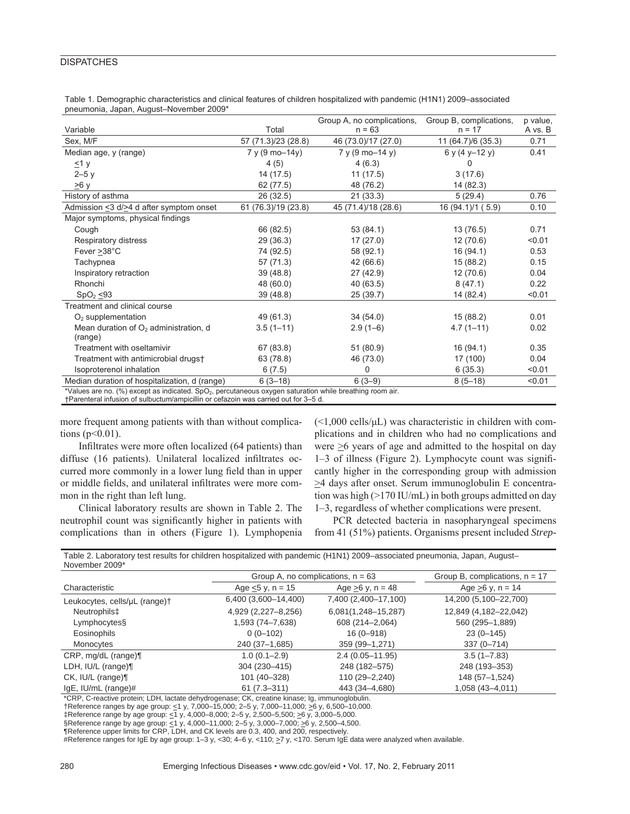#### **DISPATCHES**

| Table 1. Demographic characteristics and clinical features of children hospitalized with pandemic (H1N1) 2009–associated |  |
|--------------------------------------------------------------------------------------------------------------------------|--|
| pneumonia, Japan, August-November 2009*                                                                                  |  |

|                                                                                                                                                                                                   |                            | Group A, no complications,  | Group B, complications, | p value. |
|---------------------------------------------------------------------------------------------------------------------------------------------------------------------------------------------------|----------------------------|-----------------------------|-------------------------|----------|
| Variable                                                                                                                                                                                          | Total                      | $n = 63$                    | $n = 17$                | A vs. B  |
| Sex, M/F                                                                                                                                                                                          | 57 (71.3)/23 (28.8)        | 46 (73.0)/17 (27.0)         | 11 (64.7)/6 (35.3)      | 0.71     |
| Median age, y (range)                                                                                                                                                                             | $7 y (9 \text{ mo} - 14y)$ | $7 y (9 \text{ mo} - 14 y)$ | $6y(4y-12y)$            | 0.41     |
| $\leq$ 1 y                                                                                                                                                                                        | 4(5)                       | 4(6.3)                      | U                       |          |
| $2-5y$                                                                                                                                                                                            | 14 (17.5)                  | 11(17.5)                    | 3(17.6)                 |          |
| ≥6 y                                                                                                                                                                                              | 62 (77.5)                  | 48 (76.2)                   | 14 (82.3)               |          |
| History of asthma                                                                                                                                                                                 | 26 (32.5)                  | 21(33.3)                    | 5(29.4)                 | 0.76     |
| Admission <3 d/>4 d after symptom onset                                                                                                                                                           | 61 (76.3)/19 (23.8)        | 45 (71.4)/18 (28.6)         | 16 (94.1)/1 (5.9)       | 0.10     |
| Major symptoms, physical findings                                                                                                                                                                 |                            |                             |                         |          |
| Cough                                                                                                                                                                                             | 66 (82.5)                  | 53(84.1)                    | 13 (76.5)               | 0.71     |
| Respiratory distress                                                                                                                                                                              | 29 (36.3)                  | 17(27.0)                    | 12(70.6)                | < 0.01   |
| Fever > 38°C                                                                                                                                                                                      | 74 (92.5)                  | 58 (92.1)                   | 16(94.1)                | 0.53     |
| Tachypnea                                                                                                                                                                                         | 57 (71.3)                  | 42 (66.6)                   | 15(88.2)                | 0.15     |
| Inspiratory retraction                                                                                                                                                                            | 39 (48.8)                  | 27 (42.9)                   | 12(70.6)                | 0.04     |
| Rhonchi                                                                                                                                                                                           | 48 (60.0)                  | 40 (63.5)                   | 8(47.1)                 | 0.22     |
| SpO <sub>2</sub> < 93                                                                                                                                                                             | 39 (48.8)                  | 25 (39.7)                   | 14 (82.4)               | < 0.01   |
| Treatment and clinical course                                                                                                                                                                     |                            |                             |                         |          |
| $O2$ supplementation                                                                                                                                                                              | 49 (61.3)                  | 34(54.0)                    | 15(88.2)                | 0.01     |
| Mean duration of $O2$ administration, d                                                                                                                                                           | $3.5(1 - 11)$              | $2.9(1-6)$                  | $4.7(1 - 11)$           | 0.02     |
| (range)                                                                                                                                                                                           |                            |                             |                         |          |
| Treatment with oseltamivir                                                                                                                                                                        | 67 (83.8)                  | 51 (80.9)                   | 16(94.1)                | 0.35     |
| Treatment with antimicrobial drugs+                                                                                                                                                               | 63 (78.8)                  | 46 (73.0)                   | 17 (100)                | 0.04     |
| Isoproterenol inhalation                                                                                                                                                                          | 6(7.5)                     | 0                           | 6(35.3)                 | < 0.01   |
| Median duration of hospitalization, d (range)                                                                                                                                                     | $6(3-18)$                  | $6(3-9)$                    | $8(5-18)$               | < 0.01   |
| *Values are no. (%) except as indicated. $SpO2$ , percutaneous oxygen saturation while breathing room air.<br>+Parenteral infusion of sulbuctum/ampicillin or cefazoin was carried out for 3-5 d. |                            |                             |                         |          |

more frequent among patients with than without complications ( $p<0.01$ ).

Infiltrates were more often localized (64 patients) than diffuse (16 patients). Unilateral localized infiltrates occurred more commonly in a lower lung field than in upper or middle fields, and unilateral infiltrates were more common in the right than left lung.

Clinical laboratory results are shown in Table 2. The neutrophil count was significantly higher in patients with complications than in others (Figure 1). Lymphopenia  $(\leq1,000 \text{ cells/µL})$  was characteristic in children with complications and in children who had no complications and were  $\geq$ 6 years of age and admitted to the hospital on day 1–3 of illness (Figure 2). Lymphocyte count was signifi cantly higher in the corresponding group with admission >4 days after onset. Serum immunoglobulin E concentration was high (>170 IU/mL) in both groups admitted on day 1–3, regardless of whether complications were present.

PCR detected bacteria in nasopharyngeal specimens from 41 (51%) patients. Organisms present included *Strep-*

| November 2009*                |                                     |                      |                                  |  |
|-------------------------------|-------------------------------------|----------------------|----------------------------------|--|
|                               | Group A, no complications, $n = 63$ |                      | Group B, complications, $n = 17$ |  |
| Characteristic                | Age $< 5$ y, n = 15                 | Age $>6$ y, n = 48   | Age $>6$ y, n = 14               |  |
| Leukocytes, cells/µL (range)+ | 6,400 (3,600-14,400)                | 7,400 (2,400-17,100) | 14,200 (5,100-22,700)            |  |
| Neutrophils‡                  | 4,929 (2,227-8,256)                 | 6,081(1,248-15,287)  | 12,849 (4,182-22,042)            |  |
| Lymphocytes§                  | 1,593 (74-7,638)                    | 608 (214-2,064)      | 560 (295-1,889)                  |  |
| Eosinophils                   | $0(0-102)$                          | $16(0 - 918)$        | $23(0-145)$                      |  |
| Monocytes                     | 240 (37-1,685)                      | 359 (99-1,271)       | $337(0 - 714)$                   |  |
| CRP, mg/dL (range)¶           | $1.0(0.1 - 2.9)$                    | $2.4(0.05 - 11.95)$  | $3.5(1 - 7.83)$                  |  |
| LDH, $IU/L$ (range) $\P$      | 304 (230-415)                       | 248 (182-575)        | 248 (193-353)                    |  |
| $CK$ , $IU/L$ (range) $\P$    | 101 (40-328)                        | 110 (29-2,240)       | 148 (57-1,524)                   |  |
| $lgE$ , IU/mL (range)#        | $61(7.3 - 311)$                     | 443 (34-4,680)       | 1,058 (43-4,011)                 |  |

Table 2. Laboratory test results for children hospitalized with pandemic (H1N1) 2009–associated pneumonia, Japan, August– November 2009\*

\*CRP, C-reactive protein; LDH, lactate dehydrogenase; CK, creatine kinase; Ig, immunoglobulin.

†Reference ranges by age group: <1 y, 7,000–15,000; 2–5 y, 7,000–11,000; >6 y, 6,500–10,000.

‡Reference range by age group: <1 y, 4,000–8,000; 2–5 y, 2,500–5,500; >6 y, 3,000–5,000.

§Reference range by age group:  $\leq$ 1 y, 4,000–11,000; 2–5 y, 3,000–7,000;  $\geq$ 6 y, 2,500–4,500.

¶Reference upper limits for CRP, LDH, and CK levels are 0.3, 400, and 200, respectively. #Reference ranges for IgE by age group: 1–3 y, <30; 4–6 y, <110; >7 y, <170. Serum IgE data were analyzed when available.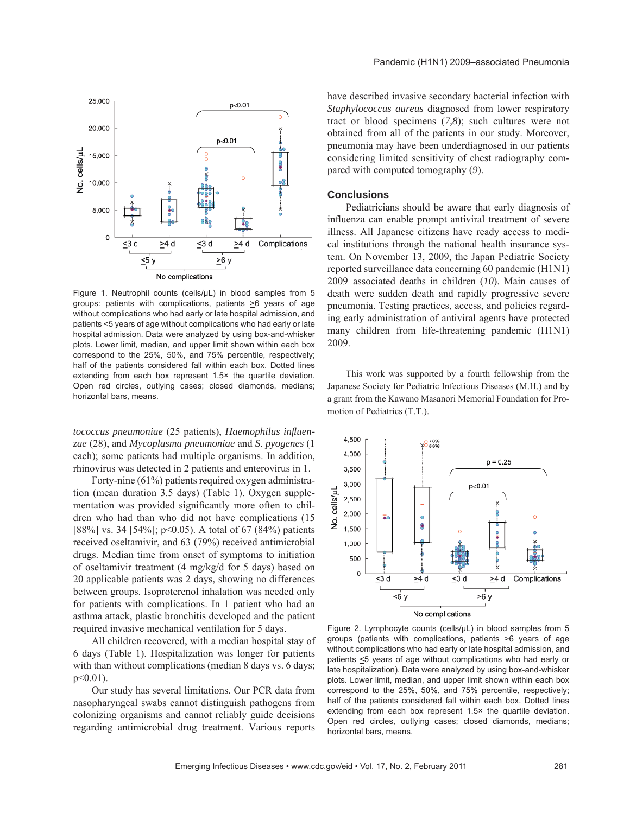

Figure 1. Neutrophil counts (cells/μL) in blood samples from 5 groups: patients with complications, patients  $\geq 6$  years of age without complications who had early or late hospital admission, and patients <5 years of age without complications who had early or late hospital admission. Data were analyzed by using box-and-whisker plots. Lower limit, median, and upper limit shown within each box correspond to the 25%, 50%, and 75% percentile, respectively; half of the patients considered fall within each box. Dotted lines extending from each box represent 1.5× the quartile deviation. Open red circles, outlying cases; closed diamonds, medians; horizontal bars, means.

*tococcus pneumoniae* (25 patients), *Haemophilus influenzae* (28), and *Mycoplasma pneumoniae* and *S. pyogenes* (1 each); some patients had multiple organisms. In addition, rhinovirus was detected in 2 patients and enterovirus in 1.

Forty-nine (61%) patients required oxygen administration (mean duration 3.5 days) (Table 1). Oxygen supplementation was provided significantly more often to children who had than who did not have complications (15 [88%] vs. 34 [54%]; p<0.05). A total of 67 (84%) patients received oseltamivir, and 63 (79%) received antimicrobial drugs. Median time from onset of symptoms to initiation of oseltamivir treatment (4 mg/kg/d for 5 days) based on 20 applicable patients was 2 days, showing no differences between groups. Isoproterenol inhalation was needed only for patients with complications. In 1 patient who had an asthma attack, plastic bronchitis developed and the patient required invasive mechanical ventilation for 5 days.

All children recovered, with a median hospital stay of 6 days (Table 1). Hospitalization was longer for patients with than without complications (median 8 days vs. 6 days; p<0.01).

Our study has several limitations. Our PCR data from nasopharyngeal swabs cannot distinguish pathogens from colonizing organisms and cannot reliably guide decisions regarding antimicrobial drug treatment. Various reports have described invasive secondary bacterial infection with *Staphylococcus aureus* diagnosed from lower respiratory tract or blood specimens (*7,8*); such cultures were not obtained from all of the patients in our study. Moreover, pneumonia may have been underdiagnosed in our patients considering limited sensitivity of chest radiography compared with computed tomography (*9*).

#### **Conclusions**

Pediatricians should be aware that early diagnosis of influenza can enable prompt antiviral treatment of severe illness. All Japanese citizens have ready access to medical institutions through the national health insurance system. On November 13, 2009, the Japan Pediatric Society reported surveillance data concerning 60 pandemic (H1N1) 2009–associated deaths in children (*10*). Main causes of death were sudden death and rapidly progressive severe pneumonia. Testing practices, access, and policies regarding early administration of antiviral agents have protected many children from life-threatening pandemic (H1N1) 2009.

This work was supported by a fourth fellowship from the Japanese Society for Pediatric Infectious Diseases (M.H.) and by a grant from the Kawano Masanori Memorial Foundation for Promotion of Pediatrics (T.T.).



Figure 2. Lymphocyte counts (cells/μL) in blood samples from 5 groups (patients with complications, patients  $\geq 6$  years of age without complications who had early or late hospital admission, and patients <5 years of age without complications who had early or late hospitalization). Data were analyzed by using box-and-whisker plots. Lower limit, median, and upper limit shown within each box correspond to the 25%, 50%, and 75% percentile, respectively; half of the patients considered fall within each box. Dotted lines extending from each box represent 1.5× the quartile deviation. Open red circles, outlying cases; closed diamonds, medians; horizontal bars, means.